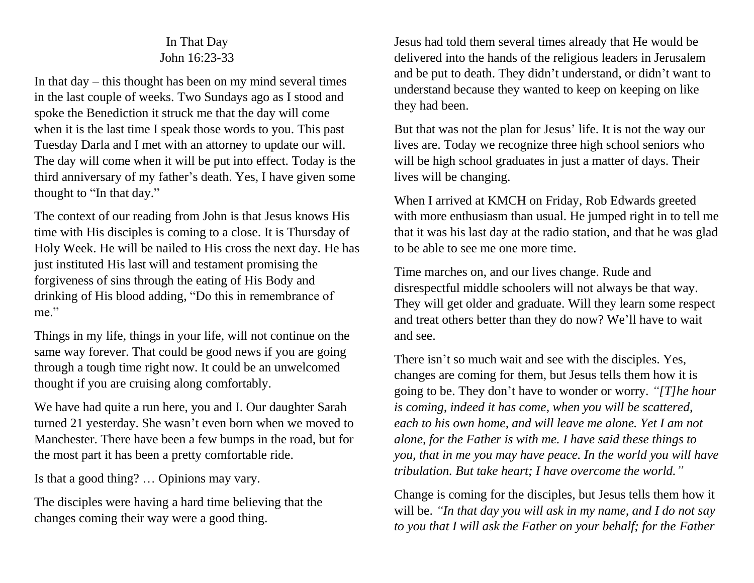## In That Day John 16:23-33

In that day – this thought has been on my mind several times in the last couple of weeks. Two Sundays ago as I stood and spoke the Benediction it struck me that the day will come when it is the last time I speak those words to you. This past Tuesday Darla and I met with an attorney to update our will. The day will come when it will be put into effect. Today is the third anniversary of my father's death. Yes, I have given some thought to "In that day."

The context of our reading from John is that Jesus knows His time with His disciples is coming to a close. It is Thursday of Holy Week. He will be nailed to His cross the next day. He has just instituted His last will and testament promising the forgiveness of sins through the eating of His Body and drinking of His blood adding, "Do this in remembrance of me."

Things in my life, things in your life, will not continue on the same way forever. That could be good news if you are going through a tough time right now. It could be an unwelcomed thought if you are cruising along comfortably.

We have had quite a run here, you and I. Our daughter Sarah turned 21 yesterday. She wasn't even born when we moved to Manchester. There have been a few bumps in the road, but for the most part it has been a pretty comfortable ride.

Is that a good thing? … Opinions may vary.

The disciples were having a hard time believing that the changes coming their way were a good thing.

Jesus had told them several times already that He would be delivered into the hands of the religious leaders in Jerusalem and be put to death. They didn't understand, or didn't want to understand because they wanted to keep on keeping on like they had been.

But that was not the plan for Jesus' life. It is not the way our lives are. Today we recognize three high school seniors who will be high school graduates in just a matter of days. Their lives will be changing.

When I arrived at KMCH on Friday, Rob Edwards greeted with more enthusiasm than usual. He jumped right in to tell me that it was his last day at the radio station, and that he was glad to be able to see me one more time.

Time marches on, and our lives change. Rude and disrespectful middle schoolers will not always be that way. They will get older and graduate. Will they learn some respect and treat others better than they do now? We'll have to wait and see.

There isn't so much wait and see with the disciples. Yes, changes are coming for them, but Jesus tells them how it is going to be. They don't have to wonder or worry. *"[T]he hour is coming, indeed it has come, when you will be scattered, each to his own home, and will leave me alone. Yet I am not alone, for the Father is with me. I have said these things to you, that in me you may have peace. In the world you will have tribulation. But take heart; I have overcome the world."*

Change is coming for the disciples, but Jesus tells them how it will be. *"In that day you will ask in my name, and I do not say to you that I will ask the Father on your behalf; for the Father*